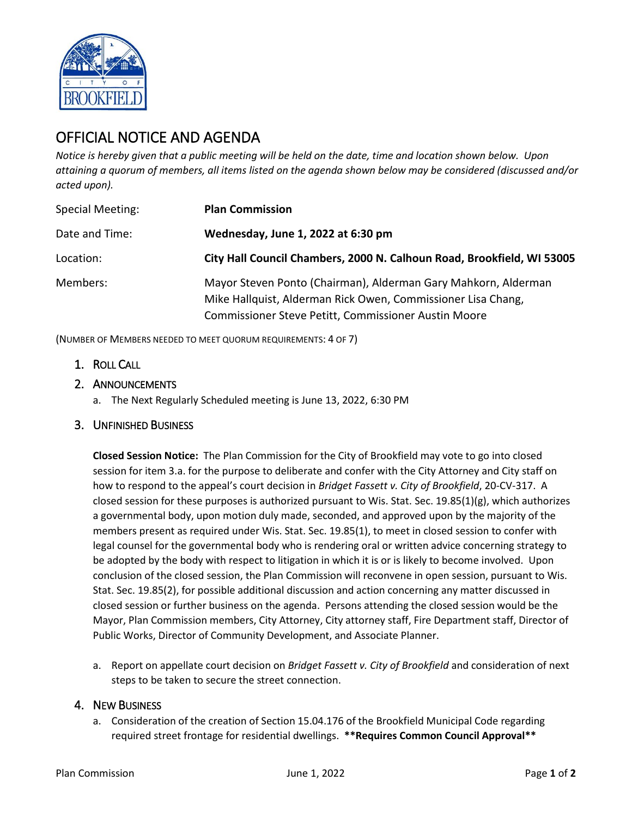

## OFFICIAL NOTICE AND AGENDA

*Notice is hereby given that a public meeting will be held on the date, time and location shown below. Upon attaining a quorum of members, all items listed on the agenda shown below may be considered (discussed and/or acted upon).*

| <b>Special Meeting:</b> | <b>Plan Commission</b>                                                                                                                                                                 |
|-------------------------|----------------------------------------------------------------------------------------------------------------------------------------------------------------------------------------|
| Date and Time:          | Wednesday, June 1, 2022 at 6:30 pm                                                                                                                                                     |
| Location:               | City Hall Council Chambers, 2000 N. Calhoun Road, Brookfield, WI 53005                                                                                                                 |
| Members:                | Mayor Steven Ponto (Chairman), Alderman Gary Mahkorn, Alderman<br>Mike Hallquist, Alderman Rick Owen, Commissioner Lisa Chang,<br>Commissioner Steve Petitt, Commissioner Austin Moore |

(NUMBER OF MEMBERS NEEDED TO MEET QUORUM REQUIREMENTS: 4 OF 7)

- 1. ROLL CALL
- 2. ANNOUNCEMENTS
	- a. The Next Regularly Scheduled meeting is June 13, 2022, 6:30 PM
- 3. UNFINISHED BUSINESS

**Closed Session Notice:** The Plan Commission for the City of Brookfield may vote to go into closed session for item 3.a. for the purpose to deliberate and confer with the City Attorney and City staff on how to respond to the appeal's court decision in *Bridget Fassett v. City of Brookfield*, 20-CV-317. A closed session for these purposes is authorized pursuant to Wis. Stat. Sec.  $19.85(1)(g)$ , which authorizes a governmental body, upon motion duly made, seconded, and approved upon by the majority of the members present as required under Wis. Stat. Sec. 19.85(1), to meet in closed session to confer with legal counsel for the governmental body who is rendering oral or written advice concerning strategy to be adopted by the body with respect to litigation in which it is or is likely to become involved. Upon conclusion of the closed session, the Plan Commission will reconvene in open session, pursuant to Wis. Stat. Sec. 19.85(2), for possible additional discussion and action concerning any matter discussed in closed session or further business on the agenda. Persons attending the closed session would be the Mayor, Plan Commission members, City Attorney, City attorney staff, Fire Department staff, Director of Public Works, Director of Community Development, and Associate Planner.

a. Report on appellate court decision on *Bridget Fassett v. City of Brookfield* and consideration of next steps to be taken to secure the street connection.

## 4. NEW BUSINESS

a. Consideration of the creation of Section 15.04.176 of the Brookfield Municipal Code regarding required street frontage for residential dwellings. **\*\*Requires Common Council Approval\*\***